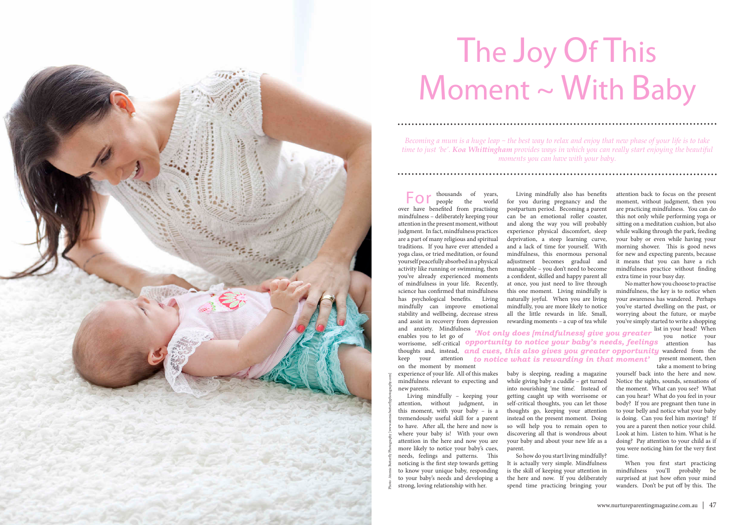enables you to let go of worrisome, self-critical **opportunity to notice your baby's needs, feelings** attention has thoughts and, instead, **and cues, this also gives you greater opportunity** wandered from the keep your attention **to notice what is rewarding in that moment'** present moment, then on the moment by moment *'Not only does [mindfulness] give you greater* you notice your

For thousands of years, people the world over have benefited from practising mindfulness – deliberately keeping your attention in the present moment, without judgment. In fact, mindfulness practices are a part of many religious and spiritual traditions. If you have ever attended a yoga class, or tried meditation, or found yourself peacefully absorbed in a physical activity like running or swimming, then you've already experienced moments of mindfulness in your life. Recently, science has confirmed that mindfulness has psychological benefits. Living mindfully can improve emotional stability and wellbeing, decrease stress and assist in recovery from depression and anxiety. Mindfulness

experience of your life. All of this makes mindfulness relevant to expecting and new parents.

Living mindfully – keeping your attention, without judgment, in this moment, with your baby – is a tremendously useful skill for a parent to have. Ater all, the here and now is where your baby is! With your own attention in the here and now you are more likely to notice your baby's cues, needs, feelings and patterns. This noticing is the first step towards getting to know your unique baby, responding to your baby's needs and developing a strong, loving relationship with her.

# The Joy Of This Moment ~ With Baby

attention back to focus on the present moment, without judgment, then you are practicing mindfulness. You can do this not only while performing yoga or sitting on a meditation cushion, but also while walking through the park, feeding your baby or even while having your morning shower. This is good news for new and expecting parents, because it means that you can have a rich mindfulness practice without finding extra time in your busy day.

Living mindfully also has benefits for you during pregnancy and the postpartum period. Becoming a parent can be an emotional roller coaster, and along the way you will probably experience physical discomfort, sleep deprivation, a steep learning curve, and a lack of time for yourself. With mindfulness, this enormous personal adjustment becomes gradual and manageable – you don't need to become a confident, skilled and happy parent all at once, you just need to live through this one moment. Living mindfully is naturally joyful. When you are living mindfully, you are more likely to notice all the little rewards in life. Small, rewarding moments – a cup of tea while

No matter how you choose to practise mindfulness, the key is to notice when your awareness has wandered. Perhaps you've started dwelling on the past, or worrying about the future, or maybe you've simply started to write a shopping

> list in your head! When take a moment to bring

yourself back into the here and now. Notice the sights, sounds, sensations of the moment. What can you see? What can you hear? What do you feel in your body? If you are pregnant then tune in to your belly and notice what your baby is doing. Can you feel him moving? If you are a parent then notice your child. Look at him. Listen to him. What is he doing? Pay attention to your child as if you were noticing him for the very first time.

When you first start practicing mindfulness you'll probably be surprised at just how often your mind wanders. Don't be put off by this. The

*Becoming a mum is a huge leap ~ the best way to relax and enjoy that new phase of your life is to take time to just 'be'. Koa Whitingham provides ways in which you can really start enjoying the beautiful moments you can have with your baby.*

baby is sleeping, reading a magazine while giving baby a cuddle – get turned into nourishing 'me time'. Instead of getting caught up with worrisome or self-critical thoughts, you can let those thoughts go, keeping your attention instead on the present moment. Doing so will help you to remain open to discovering all that is wondrous about your baby and about your new life as a parent.

So how do you start living mindfully? It is actually very simple. Mindfulness is the skill of keeping your attention in the here and now. If you deliberately spend time practicing bringing your